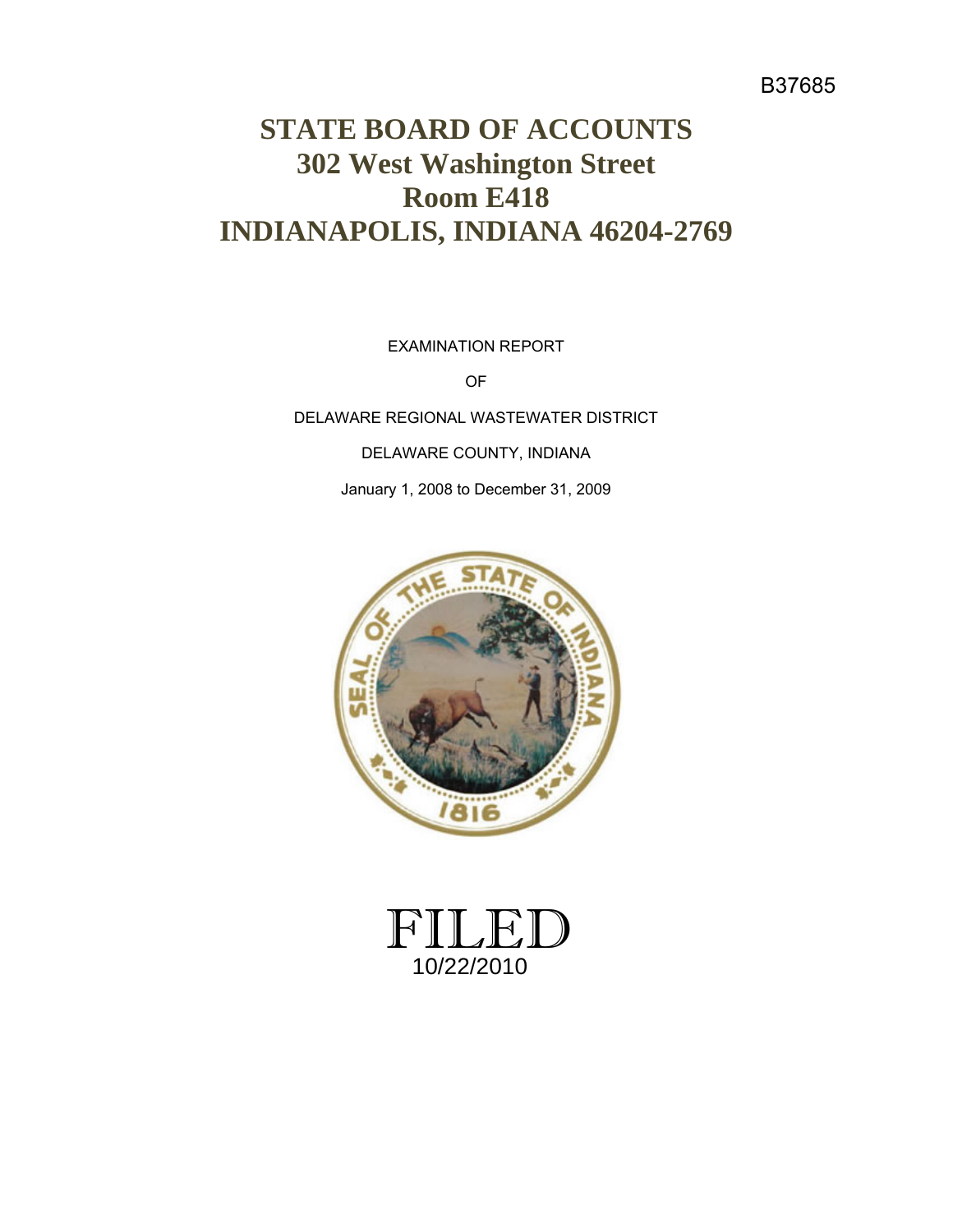## B37685

# **STATE BOARD OF ACCOUNTS 302 West Washington Street Room E418 INDIANAPOLIS, INDIANA 46204-2769**

EXAMINATION REPORT

OF

DELAWARE REGIONAL WASTEWATER DISTRICT

DELAWARE COUNTY, INDIANA

January 1, 2008 to December 31, 2009



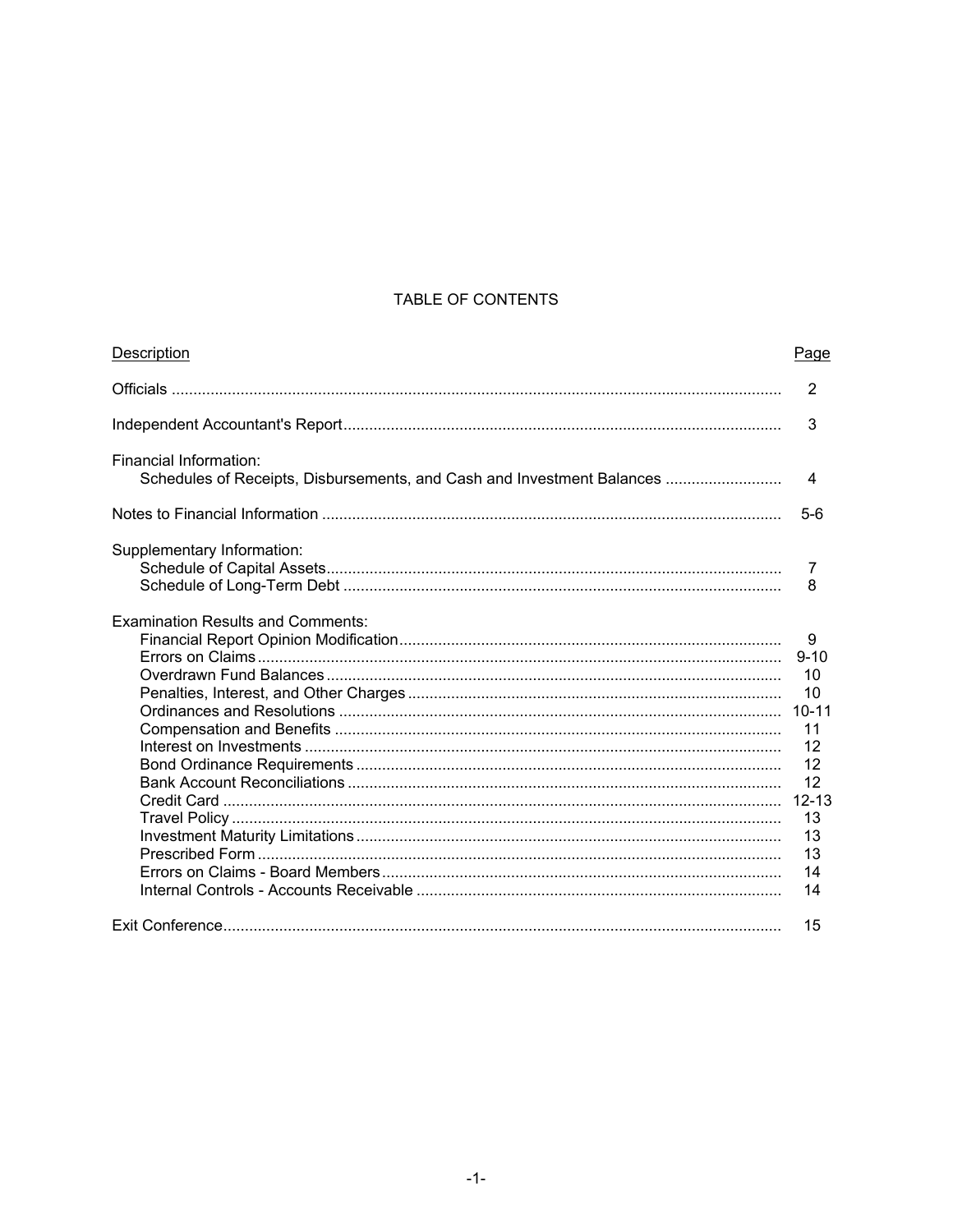### TABLE OF CONTENTS

| Description                                                                                      | Page      |
|--------------------------------------------------------------------------------------------------|-----------|
|                                                                                                  | 2         |
|                                                                                                  | 3         |
| Financial Information:<br>Schedules of Receipts, Disbursements, and Cash and Investment Balances | 4         |
|                                                                                                  |           |
|                                                                                                  | $5-6$     |
| Supplementary Information:                                                                       |           |
|                                                                                                  | 7         |
|                                                                                                  | 8         |
| <b>Examination Results and Comments:</b>                                                         |           |
|                                                                                                  | 9         |
|                                                                                                  | $9 - 10$  |
|                                                                                                  | 10        |
|                                                                                                  | 10        |
|                                                                                                  |           |
|                                                                                                  | 11        |
|                                                                                                  | 12        |
|                                                                                                  | 12        |
|                                                                                                  | 12        |
|                                                                                                  | $12 - 13$ |
|                                                                                                  | 13        |
|                                                                                                  | 13        |
|                                                                                                  | 13        |
|                                                                                                  | 14        |
|                                                                                                  | 14        |
|                                                                                                  | 15        |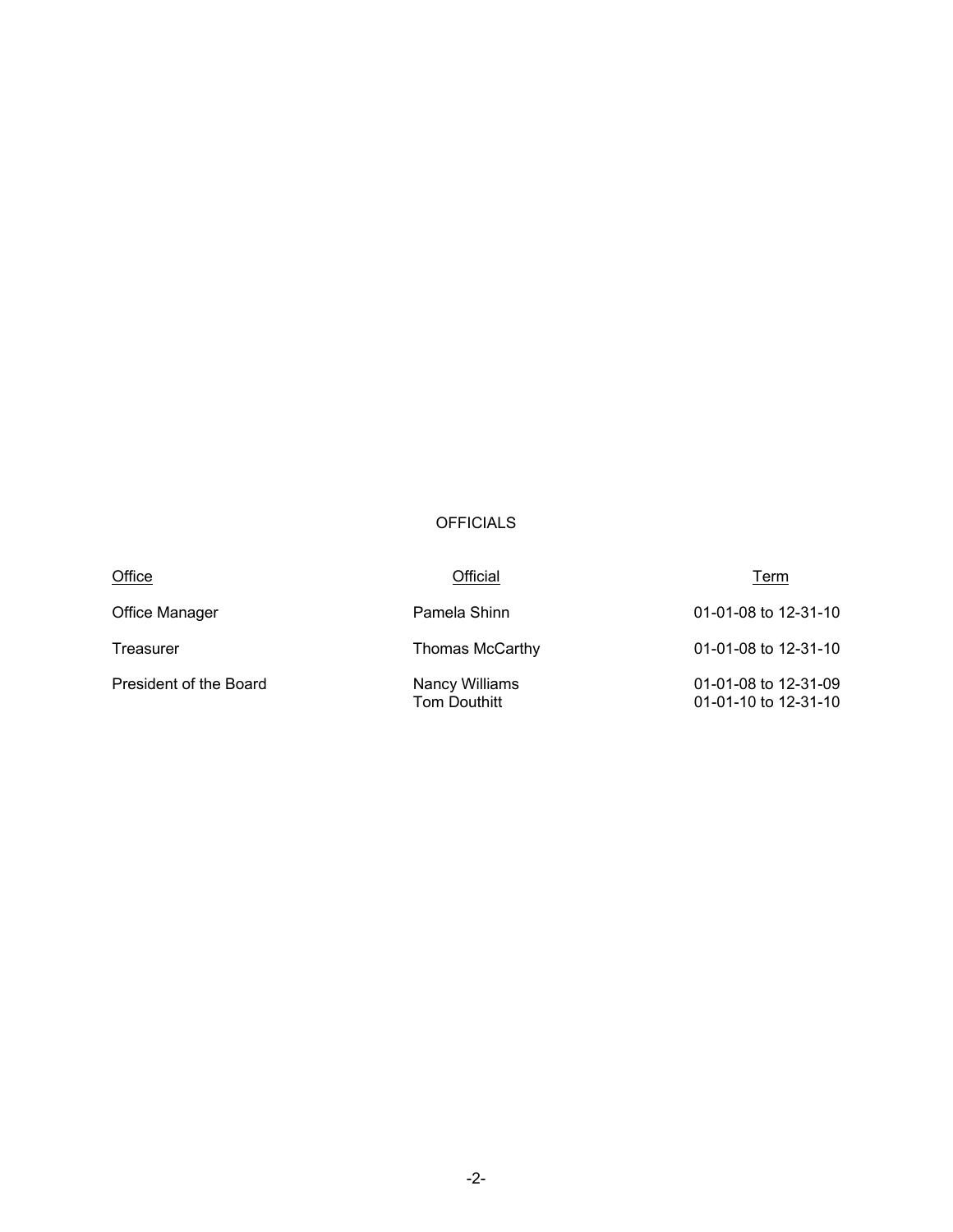## OFFICIALS

| Office                 | Official                              | Term                                         |
|------------------------|---------------------------------------|----------------------------------------------|
| Office Manager         | Pamela Shinn                          | 01-01-08 to 12-31-10                         |
| Treasurer              | Thomas McCarthy                       | 01-01-08 to 12-31-10                         |
| President of the Board | Nancy Williams<br><b>Tom Douthitt</b> | 01-01-08 to 12-31-09<br>01-01-10 to 12-31-10 |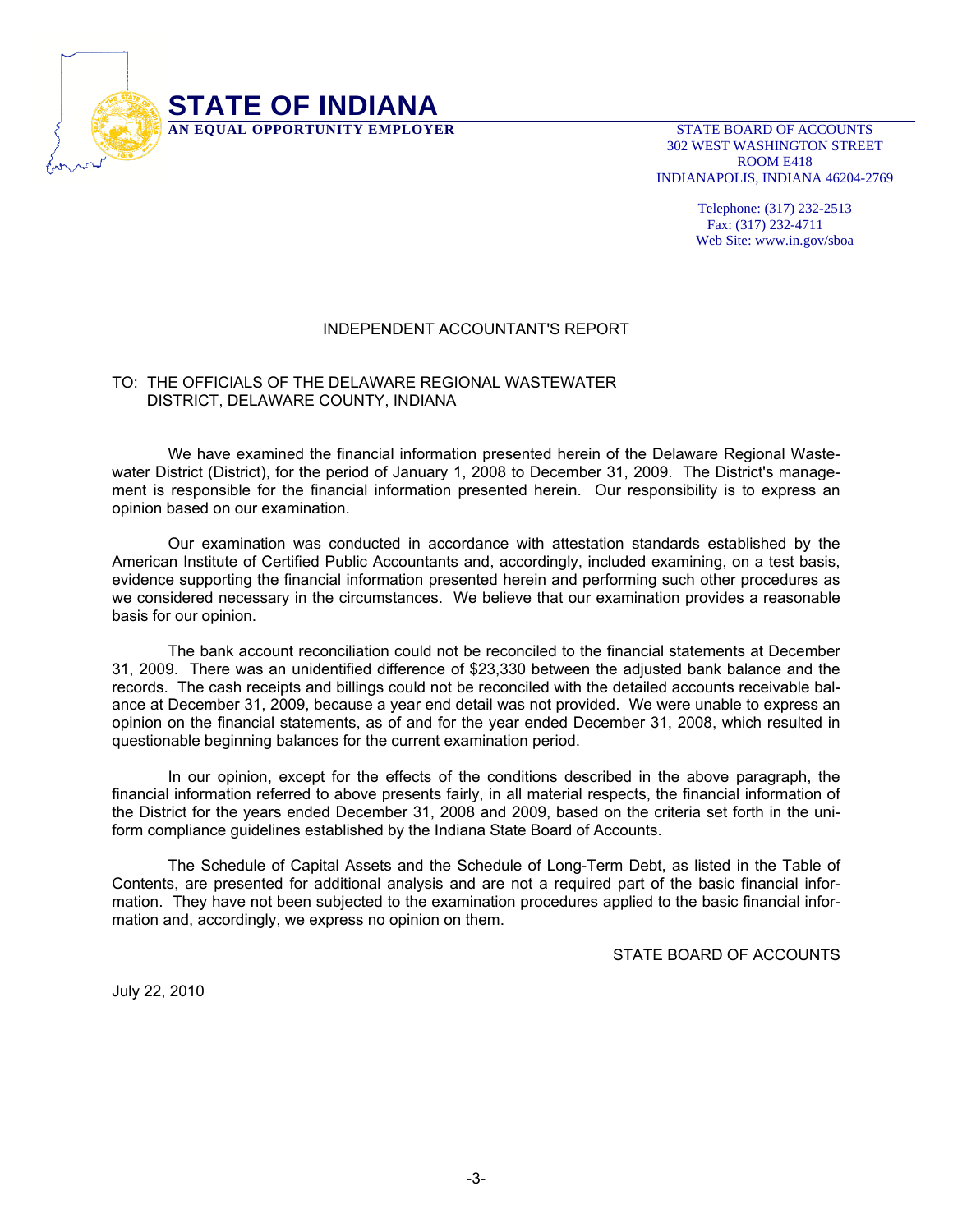

 302 WEST WASHINGTON STREET ROOM E418 INDIANAPOLIS, INDIANA 46204-2769

> Telephone: (317) 232-2513 Fax: (317) 232-4711 Web Site: www.in.gov/sboa

#### INDEPENDENT ACCOUNTANT'S REPORT

#### TO: THE OFFICIALS OF THE DELAWARE REGIONAL WASTEWATER DISTRICT, DELAWARE COUNTY, INDIANA

 We have examined the financial information presented herein of the Delaware Regional Wastewater District (District), for the period of January 1, 2008 to December 31, 2009. The District's management is responsible for the financial information presented herein. Our responsibility is to express an opinion based on our examination.

 Our examination was conducted in accordance with attestation standards established by the American Institute of Certified Public Accountants and, accordingly, included examining, on a test basis, evidence supporting the financial information presented herein and performing such other procedures as we considered necessary in the circumstances. We believe that our examination provides a reasonable basis for our opinion.

 The bank account reconciliation could not be reconciled to the financial statements at December 31, 2009. There was an unidentified difference of \$23,330 between the adjusted bank balance and the records. The cash receipts and billings could not be reconciled with the detailed accounts receivable balance at December 31, 2009, because a year end detail was not provided. We were unable to express an opinion on the financial statements, as of and for the year ended December 31, 2008, which resulted in questionable beginning balances for the current examination period.

 In our opinion, except for the effects of the conditions described in the above paragraph, the financial information referred to above presents fairly, in all material respects, the financial information of the District for the years ended December 31, 2008 and 2009, based on the criteria set forth in the uniform compliance guidelines established by the Indiana State Board of Accounts.

 The Schedule of Capital Assets and the Schedule of Long-Term Debt, as listed in the Table of Contents, are presented for additional analysis and are not a required part of the basic financial information. They have not been subjected to the examination procedures applied to the basic financial information and, accordingly, we express no opinion on them.

STATE BOARD OF ACCOUNTS

July 22, 2010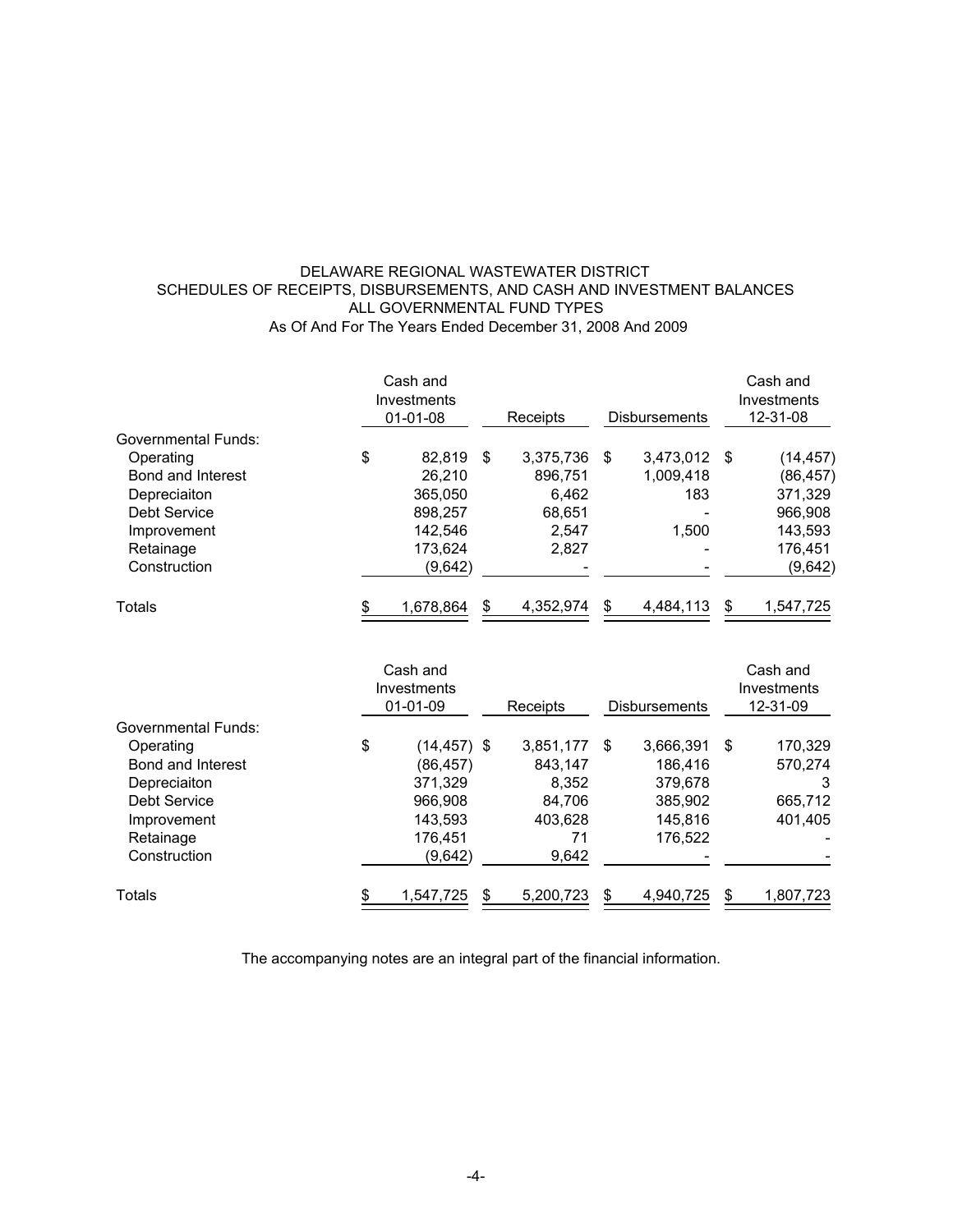#### DELAWARE REGIONAL WASTEWATER DISTRICT SCHEDULES OF RECEIPTS, DISBURSEMENTS, AND CASH AND INVESTMENT BALANCES ALL GOVERNMENTAL FUND TYPES As Of And For The Years Ended December 31, 2008 And 2009

|                     | Cash and<br>Investments<br>$01 - 01 - 08$ | Receipts        |    | <b>Disbursements</b> |     | Cash and<br>Investments<br>12-31-08 |
|---------------------|-------------------------------------------|-----------------|----|----------------------|-----|-------------------------------------|
| Governmental Funds: |                                           |                 |    |                      |     |                                     |
| Operating           | \$<br>82,819                              | \$<br>3,375,736 | -S | 3,473,012            | -\$ | (14, 457)                           |
| Bond and Interest   | 26,210                                    | 896,751         |    | 1,009,418            |     | (86, 457)                           |
| Depreciaiton        | 365,050                                   | 6,462           |    | 183                  |     | 371,329                             |
| Debt Service        | 898,257                                   | 68,651          |    |                      |     | 966,908                             |
| Improvement         | 142.546                                   | 2,547           |    | 1.500                |     | 143,593                             |
| Retainage           | 173,624                                   | 2,827           |    |                      |     | 176,451                             |
| Construction        | (9,642)                                   |                 |    |                      |     | (9,642)                             |
| Totals              | \$<br>1,678,864                           | \$<br>4,352,974 |    | 4.484.113            | \$  | 1,547,725                           |

|                     | Cash and<br>Investments<br>$01 - 01 - 09$ |   | Receipts  | <b>Disbursements</b> | Cash and<br>Investments<br>12-31-09 |
|---------------------|-------------------------------------------|---|-----------|----------------------|-------------------------------------|
| Governmental Funds: |                                           |   |           |                      |                                     |
| Operating           | \$<br>$(14, 457)$ \$                      |   | 3,851,177 | \$<br>3,666,391      | \$<br>170,329                       |
| Bond and Interest   | (86, 457)                                 |   | 843.147   | 186.416              | 570,274                             |
| Depreciaiton        | 371,329                                   |   | 8.352     | 379,678              | 3                                   |
| <b>Debt Service</b> | 966,908                                   |   | 84.706    | 385,902              | 665,712                             |
| Improvement         | 143,593                                   |   | 403,628   | 145,816              | 401,405                             |
| Retainage           | 176.451                                   |   | 71        | 176.522              |                                     |
| Construction        | (9,642)                                   |   | 9,642     |                      |                                     |
| Totals              | 1,547,725                                 | S | 5,200,723 | \$<br>4,940,725      | \$<br>1,807,723                     |

The accompanying notes are an integral part of the financial information.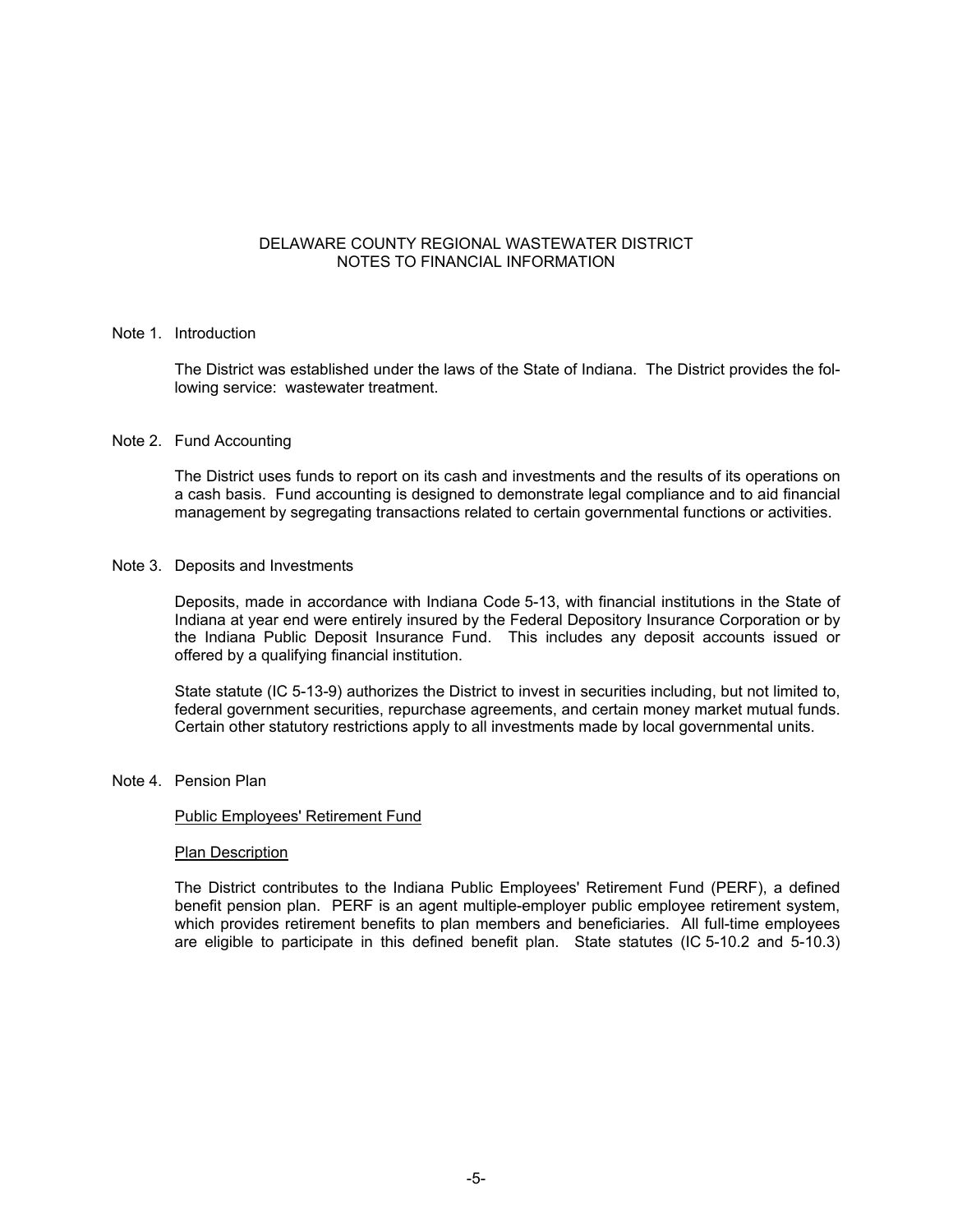#### DELAWARE COUNTY REGIONAL WASTEWATER DISTRICT NOTES TO FINANCIAL INFORMATION

#### Note 1. Introduction

The District was established under the laws of the State of Indiana. The District provides the following service: wastewater treatment.

#### Note 2. Fund Accounting

The District uses funds to report on its cash and investments and the results of its operations on a cash basis. Fund accounting is designed to demonstrate legal compliance and to aid financial management by segregating transactions related to certain governmental functions or activities.

#### Note 3. Deposits and Investments

Deposits, made in accordance with Indiana Code 5-13, with financial institutions in the State of Indiana at year end were entirely insured by the Federal Depository Insurance Corporation or by the Indiana Public Deposit Insurance Fund. This includes any deposit accounts issued or offered by a qualifying financial institution.

State statute (IC 5-13-9) authorizes the District to invest in securities including, but not limited to, federal government securities, repurchase agreements, and certain money market mutual funds. Certain other statutory restrictions apply to all investments made by local governmental units.

#### Note 4. Pension Plan

#### Public Employees' Retirement Fund

#### Plan Description

The District contributes to the Indiana Public Employees' Retirement Fund (PERF), a defined benefit pension plan. PERF is an agent multiple-employer public employee retirement system, which provides retirement benefits to plan members and beneficiaries. All full-time employees are eligible to participate in this defined benefit plan. State statutes (IC 5-10.2 and 5-10.3)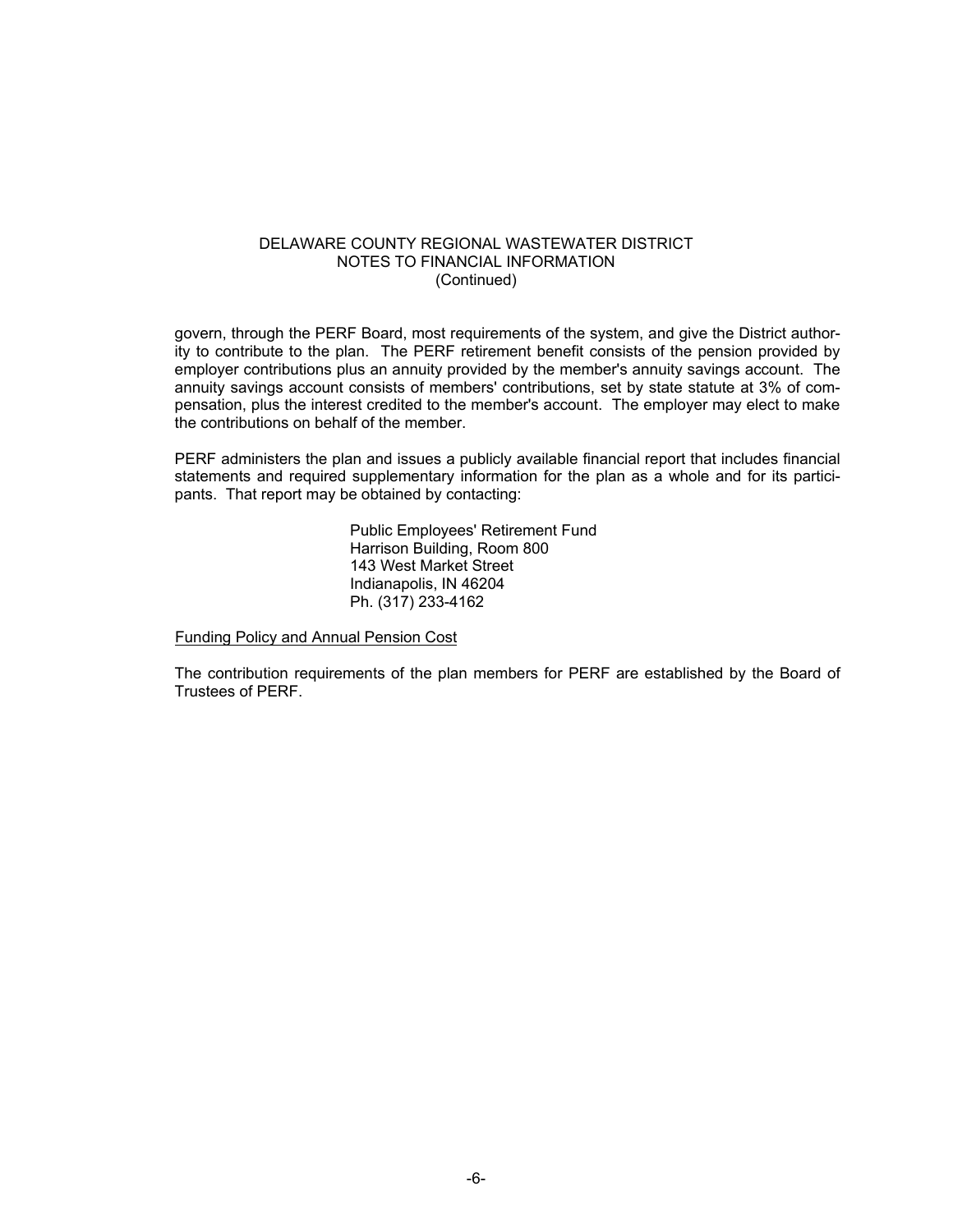#### DELAWARE COUNTY REGIONAL WASTEWATER DISTRICT NOTES TO FINANCIAL INFORMATION (Continued)

govern, through the PERF Board, most requirements of the system, and give the District authority to contribute to the plan. The PERF retirement benefit consists of the pension provided by employer contributions plus an annuity provided by the member's annuity savings account. The annuity savings account consists of members' contributions, set by state statute at 3% of compensation, plus the interest credited to the member's account. The employer may elect to make the contributions on behalf of the member.

PERF administers the plan and issues a publicly available financial report that includes financial statements and required supplementary information for the plan as a whole and for its participants. That report may be obtained by contacting:

> Public Employees' Retirement Fund Harrison Building, Room 800 143 West Market Street Indianapolis, IN 46204 Ph. (317) 233-4162

#### Funding Policy and Annual Pension Cost

The contribution requirements of the plan members for PERF are established by the Board of Trustees of PERF.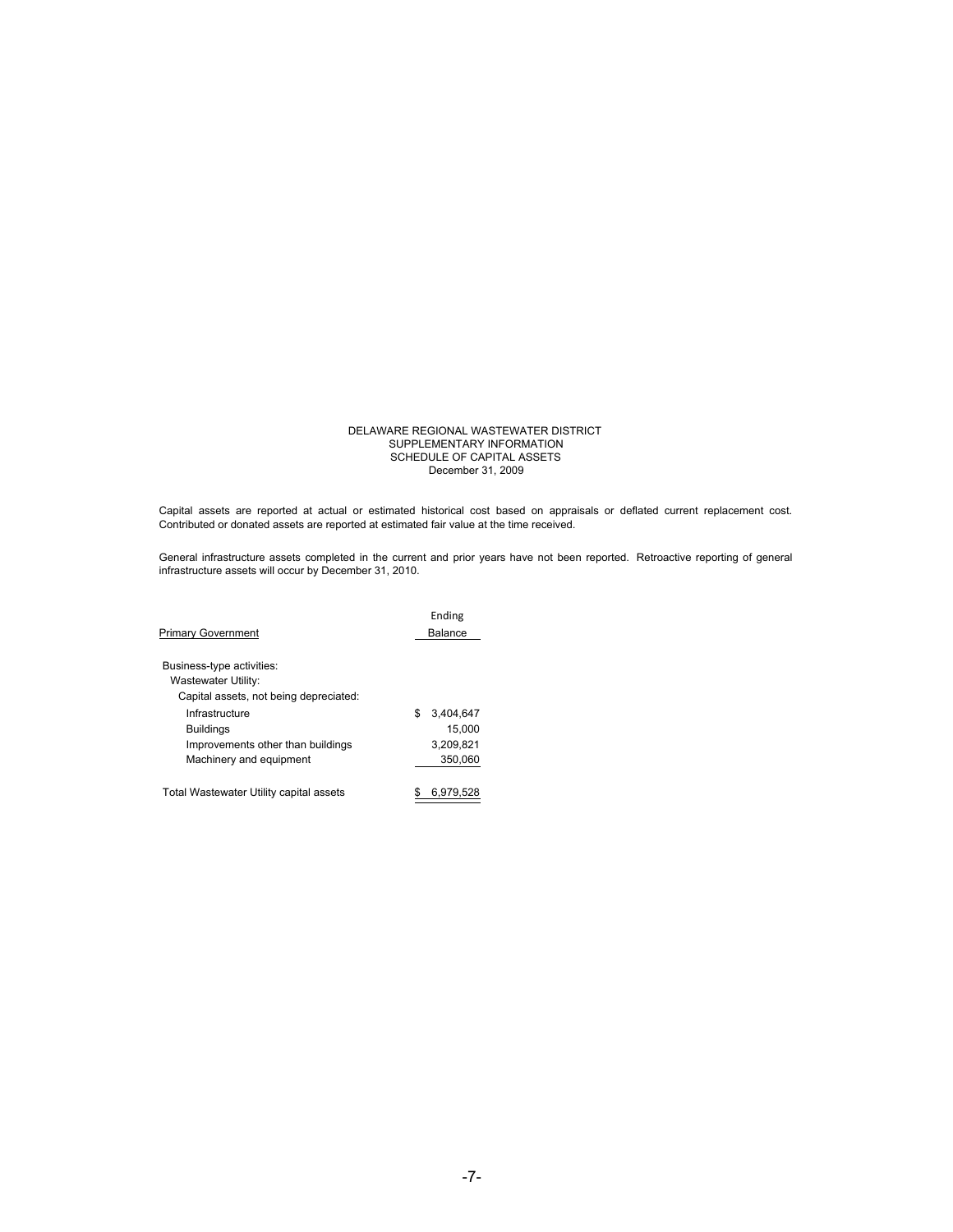#### SCHEDULE OF CAPITAL ASSETS December 31, 2009 DELAWARE REGIONAL WASTEWATER DISTRICT SUPPLEMENTARY INFORMATION

Capital assets are reported at actual or estimated historical cost based on appraisals or deflated current replacement cost. Contributed or donated assets are reported at estimated fair value at the time received.

General infrastructure assets completed in the current and prior years have not been reported. Retroactive reporting of general infrastructure assets will occur by December 31, 2010.

|                                         |    | Ending    |
|-----------------------------------------|----|-----------|
| <b>Primary Government</b>               |    | Balance   |
|                                         |    |           |
| Business-type activities:               |    |           |
| Wastewater Utility:                     |    |           |
| Capital assets, not being depreciated:  |    |           |
| Infrastructure                          | \$ | 3.404.647 |
| <b>Buildings</b>                        |    | 15.000    |
| Improvements other than buildings       |    | 3.209.821 |
| Machinery and equipment                 |    | 350.060   |
| Total Wastewater Utility capital assets |    | 6,979,528 |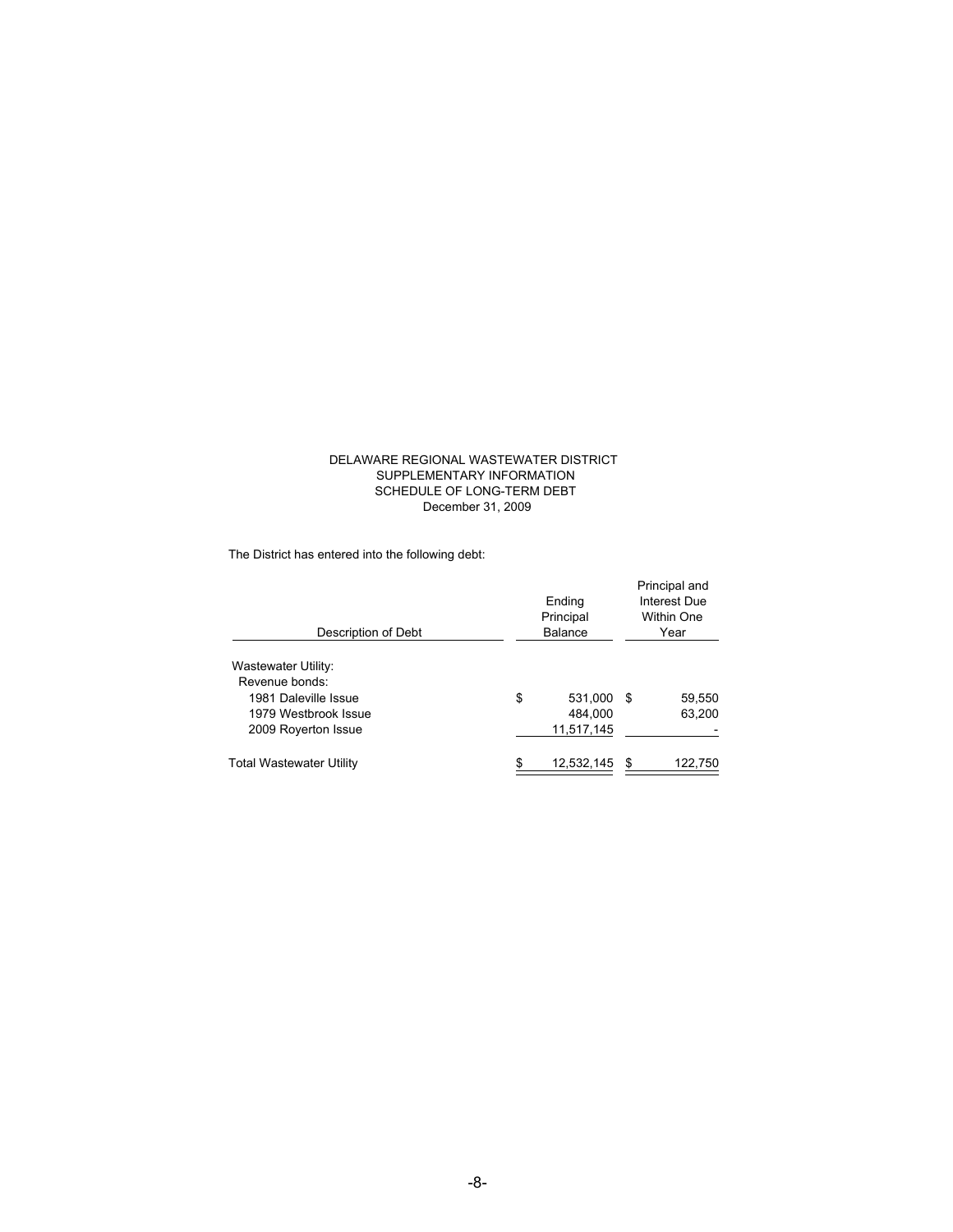#### DELAWARE REGIONAL WASTEWATER DISTRICT SUPPLEMENTARY INFORMATION SCHEDULE OF LONG-TERM DEBT December 31, 2009

The District has entered into the following debt:

| Description of Debt                          | Ending<br>Principal<br><b>Balance</b> | Principal and<br>Interest Due<br><b>Within One</b><br>Year |         |  |
|----------------------------------------------|---------------------------------------|------------------------------------------------------------|---------|--|
| <b>Wastewater Utility:</b><br>Revenue bonds: |                                       |                                                            |         |  |
| 1981 Daleville Issue                         | \$<br>531,000                         | S                                                          | 59,550  |  |
| 1979 Westbrook Issue                         | 484,000                               |                                                            | 63,200  |  |
| 2009 Royerton Issue                          | 11,517,145                            |                                                            |         |  |
| <b>Total Wastewater Utility</b>              | \$<br>12,532,145                      | S                                                          | 122,750 |  |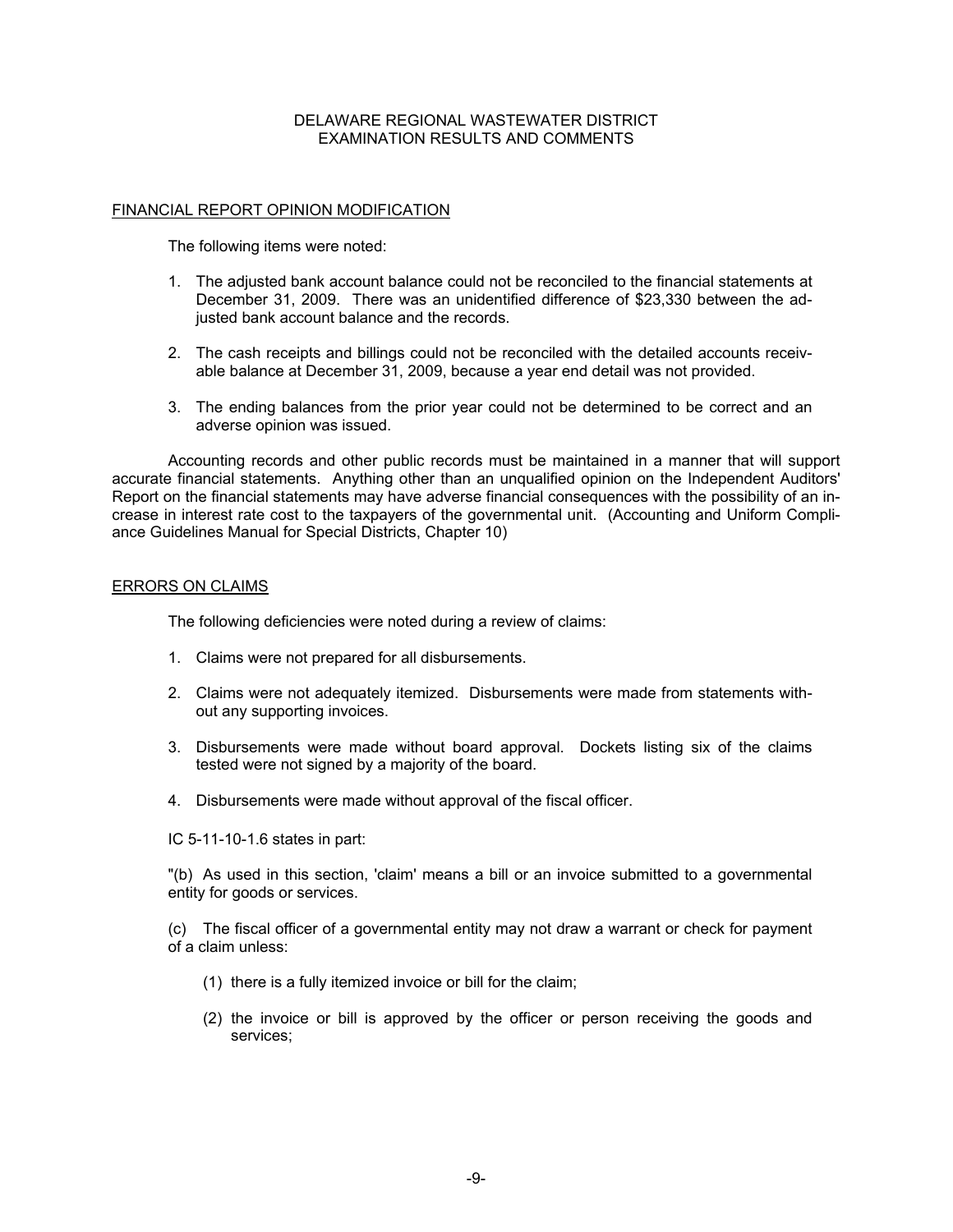#### FINANCIAL REPORT OPINION MODIFICATION

The following items were noted:

- 1. The adjusted bank account balance could not be reconciled to the financial statements at December 31, 2009. There was an unidentified difference of \$23,330 between the adjusted bank account balance and the records.
- 2. The cash receipts and billings could not be reconciled with the detailed accounts receivable balance at December 31, 2009, because a year end detail was not provided.
- 3. The ending balances from the prior year could not be determined to be correct and an adverse opinion was issued.

 Accounting records and other public records must be maintained in a manner that will support accurate financial statements. Anything other than an unqualified opinion on the Independent Auditors' Report on the financial statements may have adverse financial consequences with the possibility of an increase in interest rate cost to the taxpayers of the governmental unit. (Accounting and Uniform Compliance Guidelines Manual for Special Districts, Chapter 10)

#### ERRORS ON CLAIMS

The following deficiencies were noted during a review of claims:

- 1. Claims were not prepared for all disbursements.
- 2. Claims were not adequately itemized. Disbursements were made from statements without any supporting invoices.
- 3. Disbursements were made without board approval. Dockets listing six of the claims tested were not signed by a majority of the board.
- 4. Disbursements were made without approval of the fiscal officer.
- IC 5-11-10-1.6 states in part:

"(b) As used in this section, 'claim' means a bill or an invoice submitted to a governmental entity for goods or services.

(c) The fiscal officer of a governmental entity may not draw a warrant or check for payment of a claim unless:

- (1) there is a fully itemized invoice or bill for the claim;
- (2) the invoice or bill is approved by the officer or person receiving the goods and services;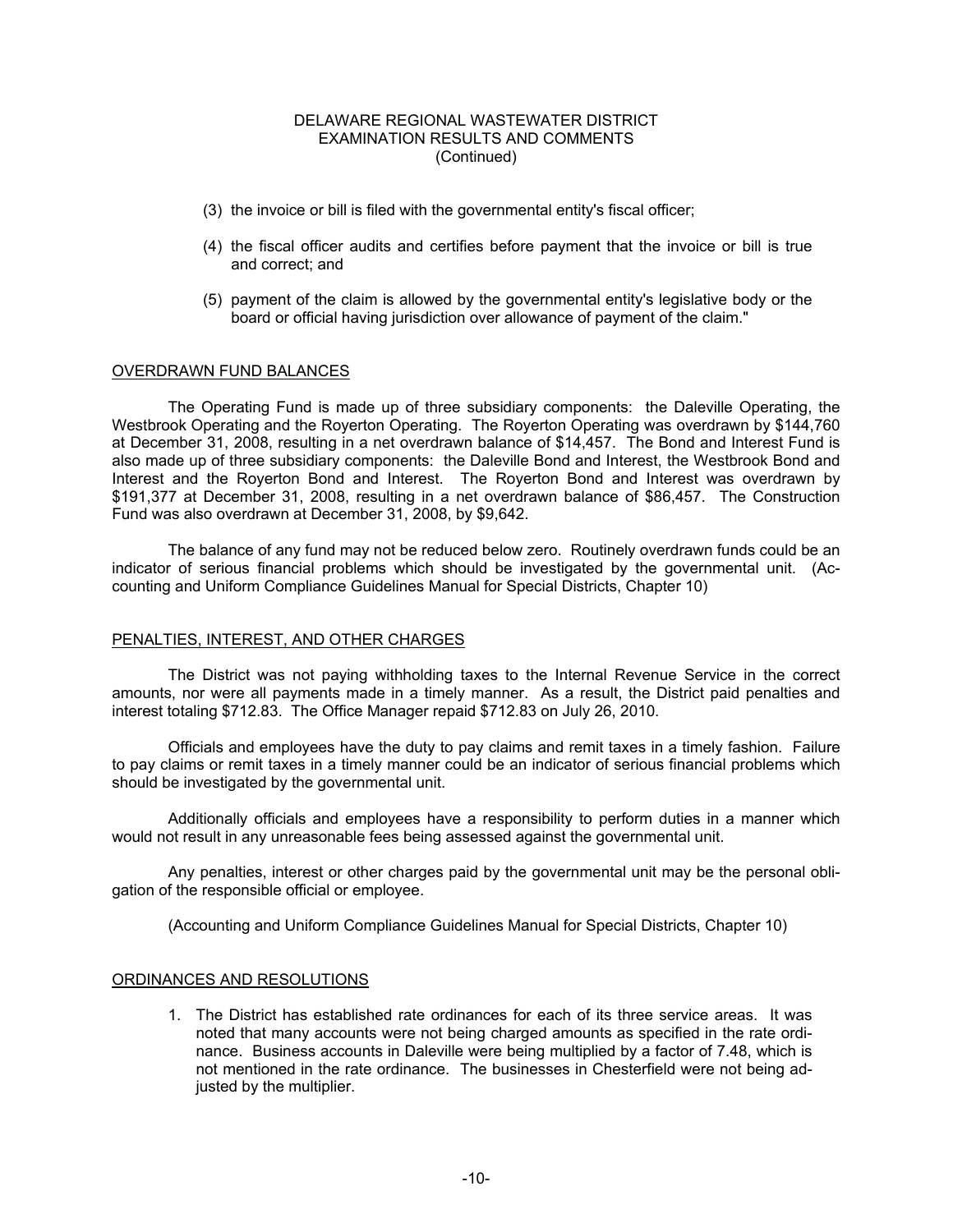- (3) the invoice or bill is filed with the governmental entity's fiscal officer;
- (4) the fiscal officer audits and certifies before payment that the invoice or bill is true and correct; and
- (5) payment of the claim is allowed by the governmental entity's legislative body or the board or official having jurisdiction over allowance of payment of the claim."

#### OVERDRAWN FUND BALANCES

The Operating Fund is made up of three subsidiary components: the Daleville Operating, the Westbrook Operating and the Royerton Operating. The Royerton Operating was overdrawn by \$144,760 at December 31, 2008, resulting in a net overdrawn balance of \$14,457. The Bond and Interest Fund is also made up of three subsidiary components: the Daleville Bond and Interest, the Westbrook Bond and Interest and the Royerton Bond and Interest. The Royerton Bond and Interest was overdrawn by \$191,377 at December 31, 2008, resulting in a net overdrawn balance of \$86,457. The Construction Fund was also overdrawn at December 31, 2008, by \$9,642.

 The balance of any fund may not be reduced below zero. Routinely overdrawn funds could be an indicator of serious financial problems which should be investigated by the governmental unit. (Accounting and Uniform Compliance Guidelines Manual for Special Districts, Chapter 10)

#### PENALTIES, INTEREST, AND OTHER CHARGES

 The District was not paying withholding taxes to the Internal Revenue Service in the correct amounts, nor were all payments made in a timely manner. As a result, the District paid penalties and interest totaling \$712.83. The Office Manager repaid \$712.83 on July 26, 2010.

 Officials and employees have the duty to pay claims and remit taxes in a timely fashion. Failure to pay claims or remit taxes in a timely manner could be an indicator of serious financial problems which should be investigated by the governmental unit.

 Additionally officials and employees have a responsibility to perform duties in a manner which would not result in any unreasonable fees being assessed against the governmental unit.

 Any penalties, interest or other charges paid by the governmental unit may be the personal obligation of the responsible official or employee.

(Accounting and Uniform Compliance Guidelines Manual for Special Districts, Chapter 10)

#### ORDINANCES AND RESOLUTIONS

1. The District has established rate ordinances for each of its three service areas. It was noted that many accounts were not being charged amounts as specified in the rate ordinance. Business accounts in Daleville were being multiplied by a factor of 7.48, which is not mentioned in the rate ordinance. The businesses in Chesterfield were not being adjusted by the multiplier.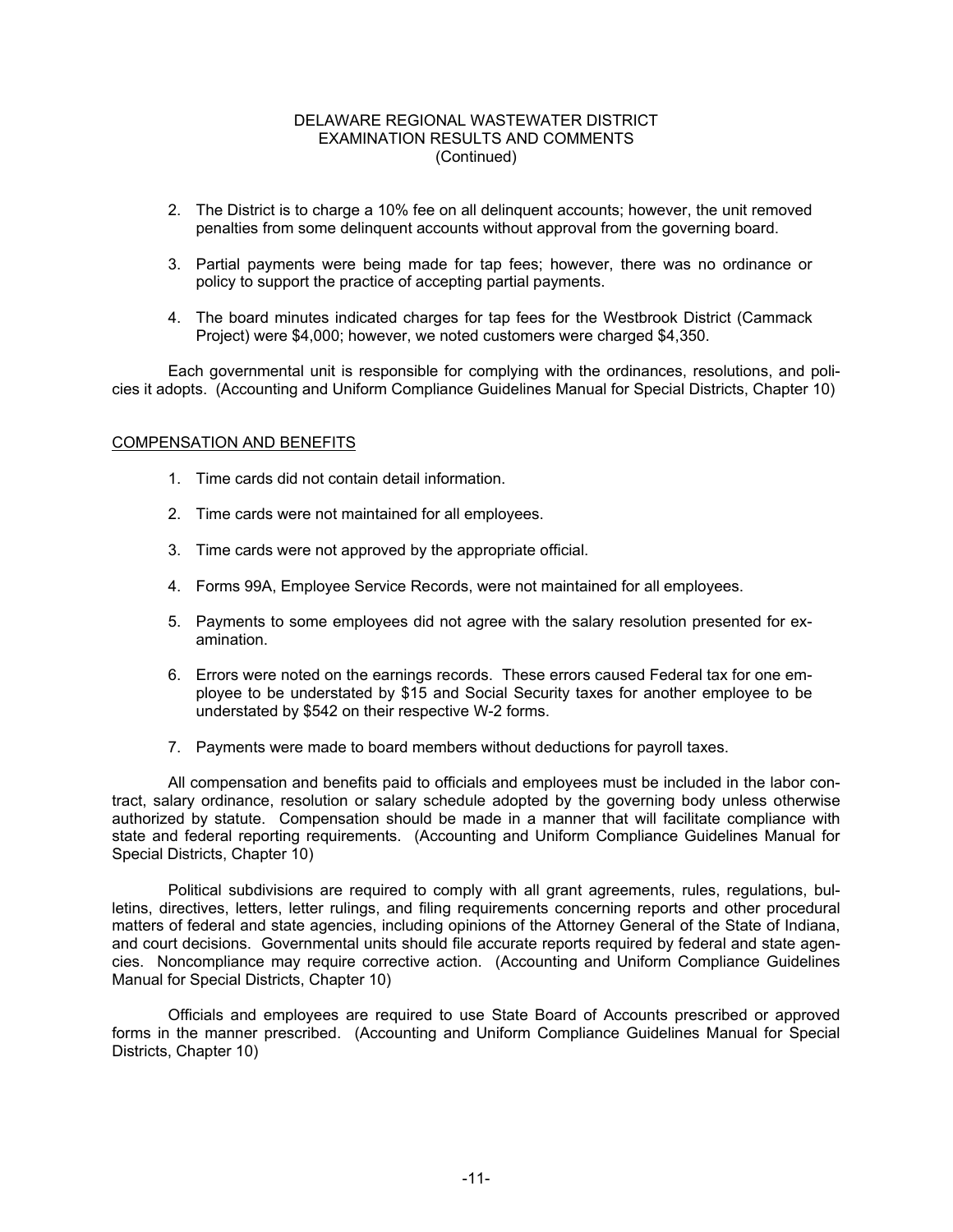- 2. The District is to charge a 10% fee on all delinquent accounts; however, the unit removed penalties from some delinquent accounts without approval from the governing board.
- 3. Partial payments were being made for tap fees; however, there was no ordinance or policy to support the practice of accepting partial payments.
- 4. The board minutes indicated charges for tap fees for the Westbrook District (Cammack Project) were \$4,000; however, we noted customers were charged \$4,350.

 Each governmental unit is responsible for complying with the ordinances, resolutions, and policies it adopts. (Accounting and Uniform Compliance Guidelines Manual for Special Districts, Chapter 10)

#### COMPENSATION AND BENEFITS

- 1. Time cards did not contain detail information.
- 2. Time cards were not maintained for all employees.
- 3. Time cards were not approved by the appropriate official.
- 4. Forms 99A, Employee Service Records, were not maintained for all employees.
- 5. Payments to some employees did not agree with the salary resolution presented for examination.
- 6. Errors were noted on the earnings records. These errors caused Federal tax for one employee to be understated by \$15 and Social Security taxes for another employee to be understated by \$542 on their respective W-2 forms.
- 7. Payments were made to board members without deductions for payroll taxes.

 All compensation and benefits paid to officials and employees must be included in the labor contract, salary ordinance, resolution or salary schedule adopted by the governing body unless otherwise authorized by statute. Compensation should be made in a manner that will facilitate compliance with state and federal reporting requirements. (Accounting and Uniform Compliance Guidelines Manual for Special Districts, Chapter 10)

 Political subdivisions are required to comply with all grant agreements, rules, regulations, bulletins, directives, letters, letter rulings, and filing requirements concerning reports and other procedural matters of federal and state agencies, including opinions of the Attorney General of the State of Indiana, and court decisions. Governmental units should file accurate reports required by federal and state agencies. Noncompliance may require corrective action. (Accounting and Uniform Compliance Guidelines Manual for Special Districts, Chapter 10)

 Officials and employees are required to use State Board of Accounts prescribed or approved forms in the manner prescribed. (Accounting and Uniform Compliance Guidelines Manual for Special Districts, Chapter 10)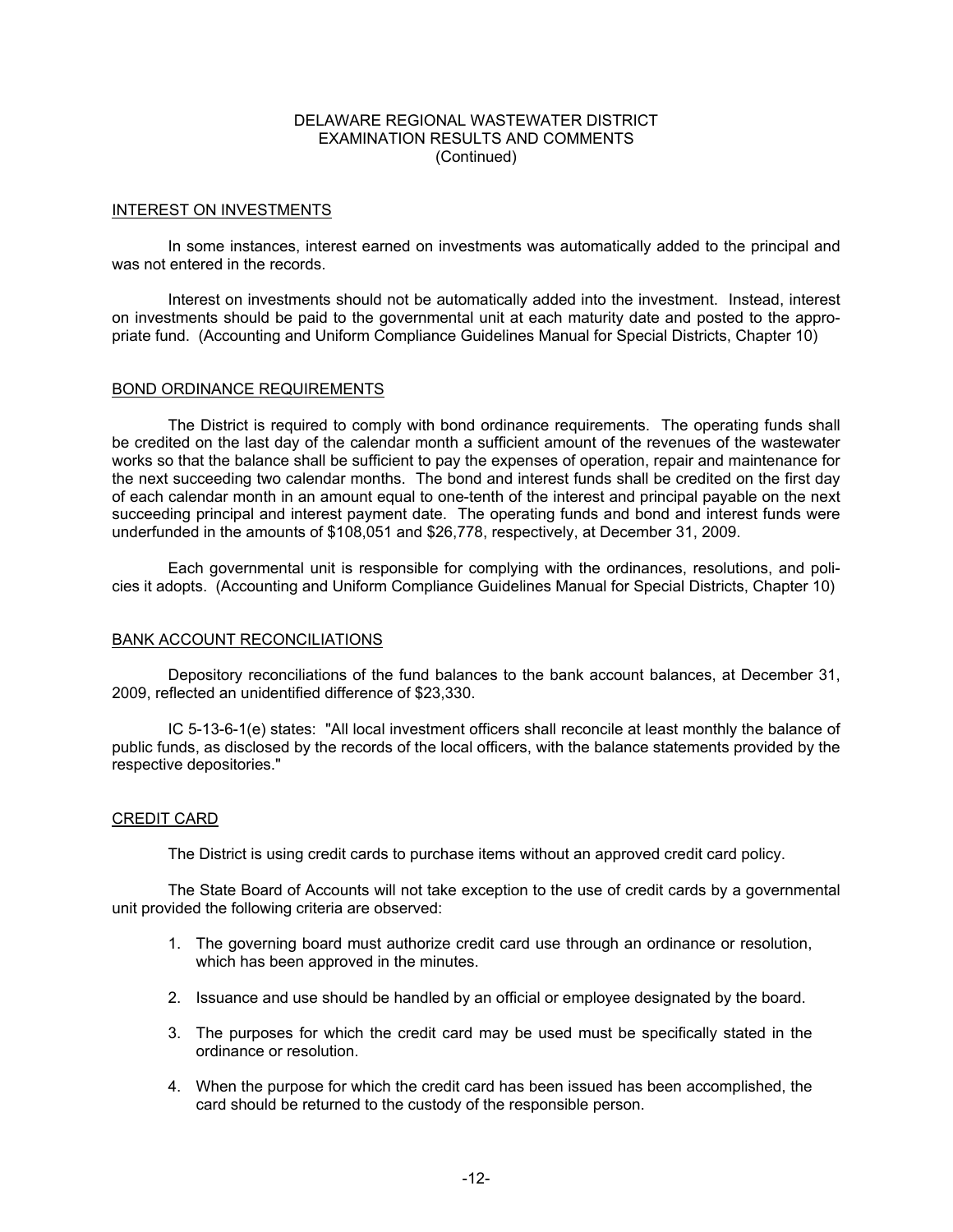#### INTEREST ON INVESTMENTS

 In some instances, interest earned on investments was automatically added to the principal and was not entered in the records.

 Interest on investments should not be automatically added into the investment. Instead, interest on investments should be paid to the governmental unit at each maturity date and posted to the appropriate fund. (Accounting and Uniform Compliance Guidelines Manual for Special Districts, Chapter 10)

#### BOND ORDINANCE REQUIREMENTS

 The District is required to comply with bond ordinance requirements. The operating funds shall be credited on the last day of the calendar month a sufficient amount of the revenues of the wastewater works so that the balance shall be sufficient to pay the expenses of operation, repair and maintenance for the next succeeding two calendar months. The bond and interest funds shall be credited on the first day of each calendar month in an amount equal to one-tenth of the interest and principal payable on the next succeeding principal and interest payment date. The operating funds and bond and interest funds were underfunded in the amounts of \$108,051 and \$26,778, respectively, at December 31, 2009.

Each governmental unit is responsible for complying with the ordinances, resolutions, and policies it adopts. (Accounting and Uniform Compliance Guidelines Manual for Special Districts, Chapter 10)

#### BANK ACCOUNT RECONCILIATIONS

 Depository reconciliations of the fund balances to the bank account balances, at December 31, 2009, reflected an unidentified difference of \$23,330.

 IC 5-13-6-1(e) states: "All local investment officers shall reconcile at least monthly the balance of public funds, as disclosed by the records of the local officers, with the balance statements provided by the respective depositories."

#### CREDIT CARD

The District is using credit cards to purchase items without an approved credit card policy.

 The State Board of Accounts will not take exception to the use of credit cards by a governmental unit provided the following criteria are observed:

- 1. The governing board must authorize credit card use through an ordinance or resolution, which has been approved in the minutes.
- 2. Issuance and use should be handled by an official or employee designated by the board.
- 3. The purposes for which the credit card may be used must be specifically stated in the ordinance or resolution.
- 4. When the purpose for which the credit card has been issued has been accomplished, the card should be returned to the custody of the responsible person.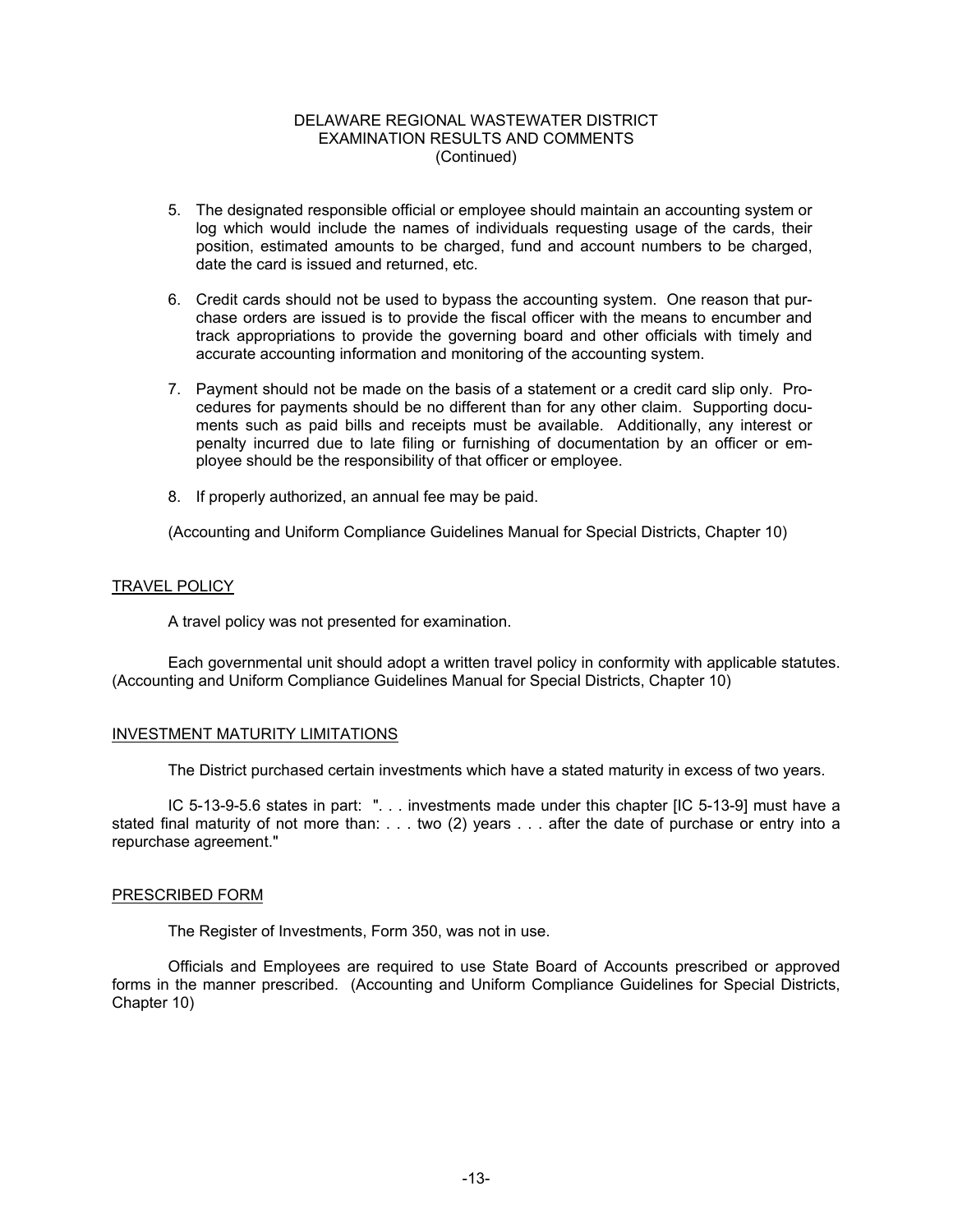- 5. The designated responsible official or employee should maintain an accounting system or log which would include the names of individuals requesting usage of the cards, their position, estimated amounts to be charged, fund and account numbers to be charged, date the card is issued and returned, etc.
- 6. Credit cards should not be used to bypass the accounting system. One reason that purchase orders are issued is to provide the fiscal officer with the means to encumber and track appropriations to provide the governing board and other officials with timely and accurate accounting information and monitoring of the accounting system.
- 7. Payment should not be made on the basis of a statement or a credit card slip only. Procedures for payments should be no different than for any other claim. Supporting documents such as paid bills and receipts must be available. Additionally, any interest or penalty incurred due to late filing or furnishing of documentation by an officer or employee should be the responsibility of that officer or employee.
- 8. If properly authorized, an annual fee may be paid.

(Accounting and Uniform Compliance Guidelines Manual for Special Districts, Chapter 10)

#### TRAVEL POLICY

A travel policy was not presented for examination.

 Each governmental unit should adopt a written travel policy in conformity with applicable statutes. (Accounting and Uniform Compliance Guidelines Manual for Special Districts, Chapter 10)

#### INVESTMENT MATURITY LIMITATIONS

The District purchased certain investments which have a stated maturity in excess of two years.

 IC 5-13-9-5.6 states in part: ". . . investments made under this chapter [IC 5-13-9] must have a stated final maturity of not more than: . . . two (2) years . . . after the date of purchase or entry into a repurchase agreement."

#### PRESCRIBED FORM

The Register of Investments, Form 350, was not in use.

 Officials and Employees are required to use State Board of Accounts prescribed or approved forms in the manner prescribed. (Accounting and Uniform Compliance Guidelines for Special Districts, Chapter 10)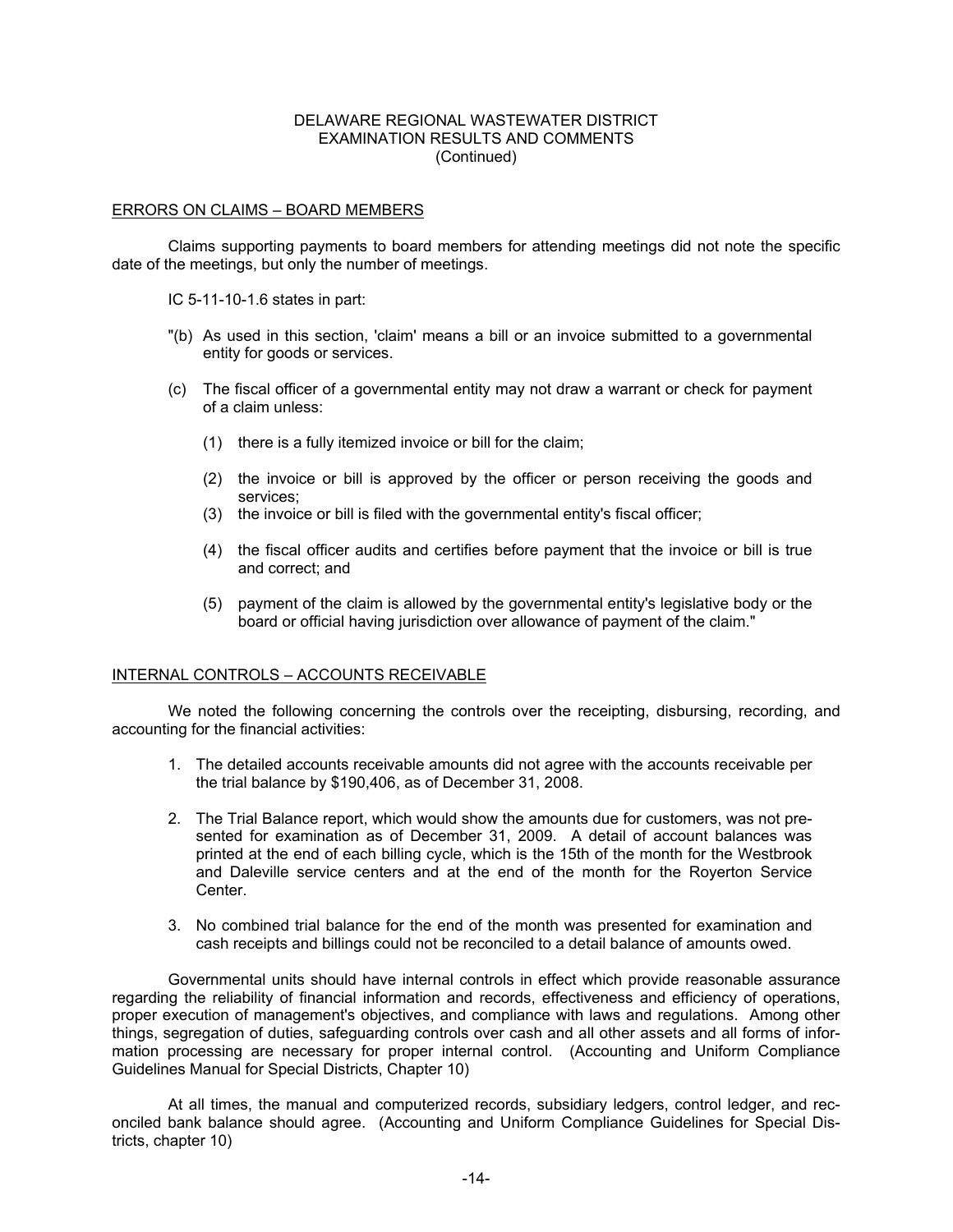#### ERRORS ON CLAIMS – BOARD MEMBERS

 Claims supporting payments to board members for attending meetings did not note the specific date of the meetings, but only the number of meetings.

IC 5-11-10-1.6 states in part:

- "(b) As used in this section, 'claim' means a bill or an invoice submitted to a governmental entity for goods or services.
- (c) The fiscal officer of a governmental entity may not draw a warrant or check for payment of a claim unless:
	- (1) there is a fully itemized invoice or bill for the claim;
	- (2) the invoice or bill is approved by the officer or person receiving the goods and services;
	- (3) the invoice or bill is filed with the governmental entity's fiscal officer;
	- (4) the fiscal officer audits and certifies before payment that the invoice or bill is true and correct; and
	- (5) payment of the claim is allowed by the governmental entity's legislative body or the board or official having jurisdiction over allowance of payment of the claim."

#### INTERNAL CONTROLS – ACCOUNTS RECEIVABLE

 We noted the following concerning the controls over the receipting, disbursing, recording, and accounting for the financial activities:

- 1. The detailed accounts receivable amounts did not agree with the accounts receivable per the trial balance by \$190,406, as of December 31, 2008.
- 2. The Trial Balance report, which would show the amounts due for customers, was not presented for examination as of December 31, 2009. A detail of account balances was printed at the end of each billing cycle, which is the 15th of the month for the Westbrook and Daleville service centers and at the end of the month for the Royerton Service Center.
- 3. No combined trial balance for the end of the month was presented for examination and cash receipts and billings could not be reconciled to a detail balance of amounts owed.

 Governmental units should have internal controls in effect which provide reasonable assurance regarding the reliability of financial information and records, effectiveness and efficiency of operations, proper execution of management's objectives, and compliance with laws and regulations. Among other things, segregation of duties, safeguarding controls over cash and all other assets and all forms of information processing are necessary for proper internal control. (Accounting and Uniform Compliance Guidelines Manual for Special Districts, Chapter 10)

 At all times, the manual and computerized records, subsidiary ledgers, control ledger, and reconciled bank balance should agree. (Accounting and Uniform Compliance Guidelines for Special Districts, chapter 10)